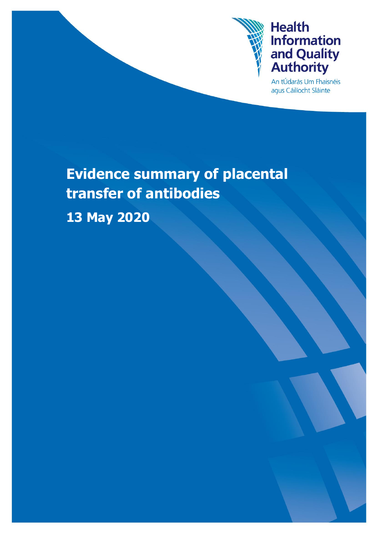

An tÚdarás Um Fhaisnéis agus Cáilíocht Sláinte

# **Evidence summary of placental transfer of antibodies 13 May 2020**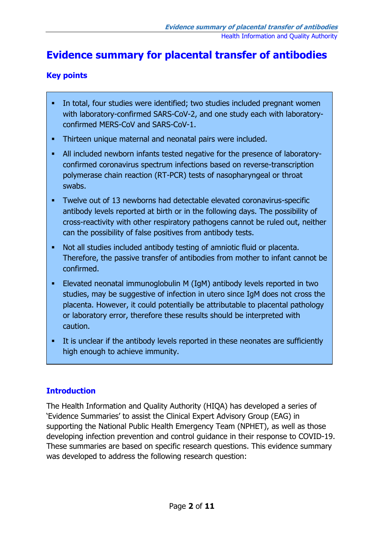### **Evidence summary for placental transfer of antibodies**

#### **Key points**

- In total, four studies were identified; two studies included pregnant women with laboratory-confirmed SARS-CoV-2, and one study each with laboratoryconfirmed MERS-CoV and SARS-CoV-1.
- Thirteen unique maternal and neonatal pairs were included.
- All included newborn infants tested negative for the presence of laboratoryconfirmed coronavirus spectrum infections based on reverse-transcription polymerase chain reaction (RT-PCR) tests of nasopharyngeal or throat swabs.
- Twelve out of 13 newborns had detectable elevated coronavirus-specific antibody levels reported at birth or in the following days. The possibility of cross-reactivity with other respiratory pathogens cannot be ruled out, neither can the possibility of false positives from antibody tests.
- Not all studies included antibody testing of amniotic fluid or placenta. Therefore, the passive transfer of antibodies from mother to infant cannot be confirmed.
- Elevated neonatal immunoglobulin M (IgM) antibody levels reported in two studies, may be suggestive of infection in utero since IgM does not cross the placenta. However, it could potentially be attributable to placental pathology or laboratory error, therefore these results should be interpreted with caution.
- It is unclear if the antibody levels reported in these neonates are sufficiently high enough to achieve immunity.

### **Introduction**

The Health Information and Quality Authority (HIQA) has developed a series of 'Evidence Summaries' to assist the Clinical Expert Advisory Group (EAG) in supporting the National Public Health Emergency Team (NPHET), as well as those developing infection prevention and control guidance in their response to COVID-19. These summaries are based on specific research questions. This evidence summary was developed to address the following research question: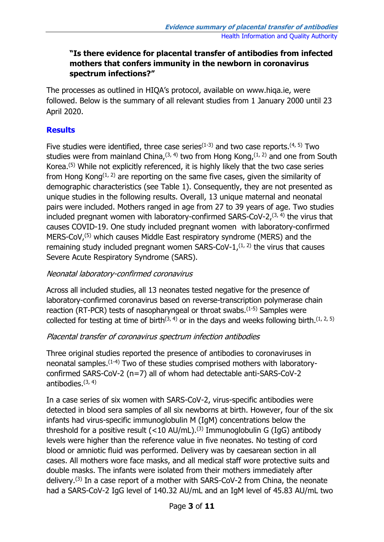#### **"Is there evidence for placental transfer of antibodies from infected mothers that confers immunity in the newborn in coronavirus spectrum infections?"**

The processes as outlined in HIQA's protocol, available on www.hiqa.ie, were followed. Below is the summary of all relevant studies from 1 January 2000 until 23 April 2020.

#### **Results**

Five studies were identified, three case series $(1-3)$  and two case reports. $(4, 5)$  Two studies were from mainland China,  $(3, 4)$  two from Hong Kong,  $(1, 2)$  and one from South Korea.(5) While not explicitly referenced, it is highly likely that the two case series from Hong Kong $(1, 2)$  are reporting on the same five cases, given the similarity of demographic characteristics (see Table 1). Consequently, they are not presented as unique studies in the following results. Overall, 13 unique maternal and neonatal pairs were included. Mothers ranged in age from 27 to 39 years of age. Two studies included pregnant women with laboratory-confirmed SARS-CoV-2, $(3, 4)$  the virus that causes COVID-19. One study included pregnant women with laboratory-confirmed MERS-CoV<sub>,</sub><sup>(5)</sup> which causes Middle East respiratory syndrome (MERS) and the remaining study included pregnant women  $SARS-CoV-1$ ,  $(1, 2)$  the virus that causes Severe Acute Respiratory Syndrome (SARS).

#### Neonatal laboratory-confirmed coronavirus

Across all included studies, all 13 neonates tested negative for the presence of laboratory-confirmed coronavirus based on reverse-transcription polymerase chain reaction (RT-PCR) tests of nasopharyngeal or throat swabs.<sup>(1-5)</sup> Samples were collected for testing at time of birth<sup>(3, 4)</sup> or in the days and weeks following birth.<sup>(1, 2, 5)</sup>

### Placental transfer of coronavirus spectrum infection antibodies

Three original studies reported the presence of antibodies to coronaviruses in neonatal samples.<sup>(1-4)</sup> Two of these studies comprised mothers with laboratoryconfirmed SARS-CoV-2 (n=7) all of whom had detectable anti-SARS-CoV-2 antibodies. $(3, 4)$ 

In a case series of six women with SARS-CoV-2, virus-specific antibodies were detected in blood sera samples of all six newborns at birth. However, four of the six infants had virus-specific immunoglobulin M (IgM) concentrations below the threshold for a positive result  $(<10$  AU/mL).<sup>(3)</sup> Immunoglobulin G (IgG) antibody levels were higher than the reference value in five neonates. No testing of cord blood or amniotic fluid was performed. Delivery was by caesarean section in all cases. All mothers wore face masks, and all medical staff wore protective suits and double masks. The infants were isolated from their mothers immediately after delivery.(3) In a case report of a mother with SARS-CoV-2 from China, the neonate had a SARS-CoV-2 IgG level of 140.32 AU/mL and an IgM level of 45.83 AU/mL two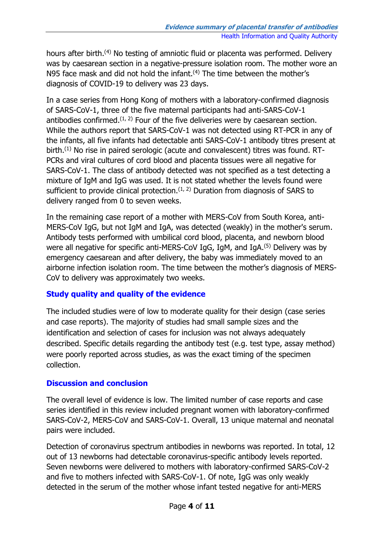hours after birth.<sup>(4)</sup> No testing of amniotic fluid or placenta was performed. Delivery was by caesarean section in a negative-pressure isolation room. The mother wore an N95 face mask and did not hold the infant.<sup>(4)</sup> The time between the mother's diagnosis of COVID-19 to delivery was 23 days.

In a case series from Hong Kong of mothers with a laboratory-confirmed diagnosis of SARS-CoV-1, three of the five maternal participants had anti-SARS-CoV-1 antibodies confirmed.<sup> $(1, 2)$ </sup> Four of the five deliveries were by caesarean section. While the authors report that SARS-CoV-1 was not detected using RT-PCR in any of the infants, all five infants had detectable anti SARS-CoV-1 antibody titres present at birth.<sup>(1)</sup> No rise in paired serologic (acute and convalescent) titres was found. RT-PCRs and viral cultures of cord blood and placenta tissues were all negative for SARS-CoV-1. The class of antibody detected was not specified as a test detecting a mixture of IgM and IgG was used. It is not stated whether the levels found were sufficient to provide clinical protection.  $(1, 2)$  Duration from diagnosis of SARS to delivery ranged from 0 to seven weeks.

In the remaining case report of a mother with MERS-CoV from South Korea, anti-MERS-CoV IgG, but not IgM and IgA, was detected (weakly) in the mother's serum. Antibody tests performed with umbilical cord blood, placenta, and newborn blood were all negative for specific anti-MERS-CoV IgG, IgM, and IgA.<sup>(5)</sup> Delivery was by emergency caesarean and after delivery, the baby was immediately moved to an airborne infection isolation room. The time between the mother's diagnosis of MERS-CoV to delivery was approximately two weeks.

#### **Study quality and quality of the evidence**

The included studies were of low to moderate quality for their design (case series and case reports). The majority of studies had small sample sizes and the identification and selection of cases for inclusion was not always adequately described. Specific details regarding the antibody test (e.g. test type, assay method) were poorly reported across studies, as was the exact timing of the specimen collection.

#### **Discussion and conclusion**

The overall level of evidence is low. The limited number of case reports and case series identified in this review included pregnant women with laboratory-confirmed SARS-CoV-2, MERS-CoV and SARS-CoV-1. Overall, 13 unique maternal and neonatal pairs were included.

Detection of coronavirus spectrum antibodies in newborns was reported. In total, 12 out of 13 newborns had detectable coronavirus-specific antibody levels reported. Seven newborns were delivered to mothers with laboratory-confirmed SARS-CoV-2 and five to mothers infected with SARS-CoV-1. Of note, IgG was only weakly detected in the serum of the mother whose infant tested negative for anti-MERS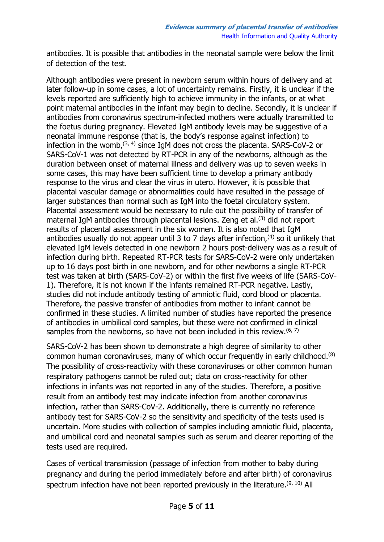antibodies. It is possible that antibodies in the neonatal sample were below the limit of detection of the test.

Although antibodies were present in newborn serum within hours of delivery and at later follow-up in some cases, a lot of uncertainty remains. Firstly, it is unclear if the levels reported are sufficiently high to achieve immunity in the infants, or at what point maternal antibodies in the infant may begin to decline. Secondly, it is unclear if antibodies from coronavirus spectrum-infected mothers were actually transmitted to the foetus during pregnancy. Elevated IgM antibody levels may be suggestive of a neonatal immune response (that is, the body's response against infection) to infection in the womb,  $(3, 4)$  since IgM does not cross the placenta. SARS-CoV-2 or SARS-CoV-1 was not detected by RT-PCR in any of the newborns, although as the duration between onset of maternal illness and delivery was up to seven weeks in some cases, this may have been sufficient time to develop a primary antibody response to the virus and clear the virus in utero. However, it is possible that placental vascular damage or abnormalities could have resulted in the passage of larger substances than normal such as IgM into the foetal circulatory system. Placental assessment would be necessary to rule out the possibility of transfer of maternal IgM antibodies through placental lesions. Zeng et al.<sup>(3)</sup> did not report results of placental assessment in the six women. It is also noted that IgM antibodies usually do not appear until 3 to 7 days after infection,  $(4)$  so it unlikely that elevated IgM levels detected in one newborn 2 hours post-delivery was as a result of infection during birth. Repeated RT-PCR tests for SARS-CoV-2 were only undertaken up to 16 days post birth in one newborn, and for other newborns a single RT-PCR test was taken at birth (SARS-CoV-2) or within the first five weeks of life (SARS-CoV-1). Therefore, it is not known if the infants remained RT-PCR negative. Lastly, studies did not include antibody testing of amniotic fluid, cord blood or placenta. Therefore, the passive transfer of antibodies from mother to infant cannot be confirmed in these studies. A limited number of studies have reported the presence of antibodies in umbilical cord samples, but these were not confirmed in clinical samples from the newborns, so have not been included in this review.  $(6, 7)$ 

SARS-CoV-2 has been shown to demonstrate a high degree of similarity to other common human coronaviruses, many of which occur frequently in early childhood.(8) The possibility of cross-reactivity with these coronaviruses or other common human respiratory pathogens cannot be ruled out; data on cross-reactivity for other infections in infants was not reported in any of the studies. Therefore, a positive result from an antibody test may indicate infection from another coronavirus infection, rather than SARS-CoV-2. Additionally, there is currently no reference antibody test for SARS-CoV-2 so the sensitivity and specificity of the tests used is uncertain. More studies with collection of samples including amniotic fluid, placenta, and umbilical cord and neonatal samples such as serum and clearer reporting of the tests used are required.

Cases of vertical transmission (passage of infection from mother to baby during pregnancy and during the period immediately before and after birth) of coronavirus spectrum infection have not been reported previously in the literature.<sup>(9, 10)</sup> All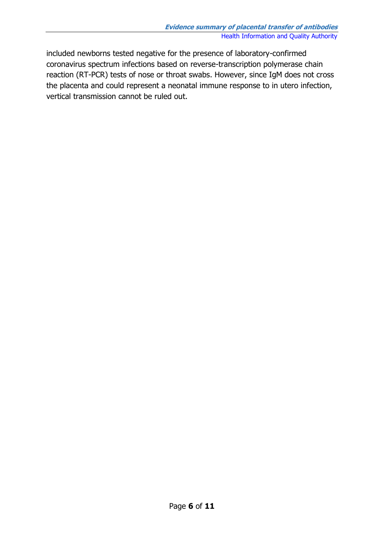included newborns tested negative for the presence of laboratory-confirmed coronavirus spectrum infections based on reverse-transcription polymerase chain reaction (RT-PCR) tests of nose or throat swabs. However, since IgM does not cross the placenta and could represent a neonatal immune response to in utero infection, vertical transmission cannot be ruled out.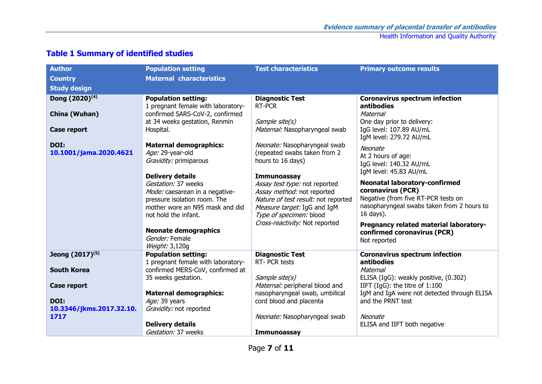| <b>Author</b>                  | <b>Population setting</b>                                              | <b>Test characteristics</b>                                        | <b>Primary outcome results</b>                                                    |
|--------------------------------|------------------------------------------------------------------------|--------------------------------------------------------------------|-----------------------------------------------------------------------------------|
| <b>Country</b>                 | <b>Maternal characteristics</b>                                        |                                                                    |                                                                                   |
| <b>Study design</b>            |                                                                        |                                                                    |                                                                                   |
| Dong (2020) <sup>(4)</sup>     | <b>Population setting:</b><br>1 pregnant female with laboratory-       | <b>Diagnostic Test</b><br>RT-PCR                                   | <b>Coronavirus spectrum infection</b><br>antibodies                               |
| China (Wuhan)                  | confirmed SARS-CoV-2, confirmed                                        |                                                                    | Maternal                                                                          |
| <b>Case report</b>             | at 34 weeks gestation, Renmin<br>Hospital.                             | Sample site(s)<br>Maternal: Nasopharyngeal swab                    | One day prior to delivery:<br>IgG level: 107.89 AU/mL                             |
|                                |                                                                        |                                                                    | IgM level: 279.72 AU/mL                                                           |
| DOI:<br>10.1001/jama.2020.4621 | <b>Maternal demographics:</b><br>Age: 29-year-old                      | Neonate: Nasopharyngeal swab<br>(repeated swabs taken from 2       | Neonate                                                                           |
|                                | Gravidity: primiparous                                                 | hours to 16 days)                                                  | At 2 hours of age:<br>IgG level: 140.32 AU/mL                                     |
|                                | <b>Delivery details</b>                                                | <b>Immunoassay</b>                                                 | IgM level: 45.83 AU/mL                                                            |
|                                | Gestation: 37 weeks                                                    | Assay test type: not reported                                      | <b>Neonatal laboratory-confirmed</b>                                              |
|                                | Mode: caesarean in a negative-                                         | Assay method: not reported                                         | coronavirus (PCR)                                                                 |
|                                | pressure isolation room. The<br>mother wore an N95 mask and did        | Nature of test result: not reported<br>Measure target: IgG and IgM | Negative (from five RT-PCR tests on<br>nasopharyngeal swabs taken from 2 hours to |
|                                | not hold the infant.                                                   | Type of specimen: blood                                            | 16 days).                                                                         |
|                                |                                                                        | Cross-reactivity: Not reported                                     | Pregnancy related material laboratory-                                            |
|                                | <b>Neonate demographics</b><br>Gender: Female                          |                                                                    | confirmed coronavirus (PCR)                                                       |
|                                | Weight: 3,120g                                                         |                                                                    | Not reported                                                                      |
| Jeong (2017) <sup>(5)</sup>    | <b>Population setting:</b>                                             | <b>Diagnostic Test</b>                                             | <b>Coronavirus spectrum infection</b>                                             |
| <b>South Korea</b>             | 1 pregnant female with laboratory-<br>confirmed MERS-CoV, confirmed at | RT- PCR tests                                                      | antibodies<br>Maternal                                                            |
|                                | 35 weeks gestation.                                                    | Sample site(s)                                                     | ELISA (IgG): weakly positive, (0.302)                                             |
| <b>Case report</b>             |                                                                        | Maternal: peripheral blood and                                     | IIFT (IgG): the titre of $1:100$                                                  |
| DOI:                           | <b>Maternal demographics:</b>                                          | nasopharyngeal swab, umbilical                                     | IgM and IgA were not detected through ELISA                                       |
| 10.3346/jkms.2017.32.10.       | Age: 39 years<br>Gravidity: not reported                               | cord blood and placenta                                            | and the PRNT test                                                                 |
| 1717                           |                                                                        | Neonate: Nasopharyngeal swab                                       | Neonate                                                                           |
|                                | <b>Delivery details</b>                                                |                                                                    | ELISA and IIFT both negative                                                      |
|                                | Gestation: 37 weeks                                                    | <b>Immunoassay</b>                                                 |                                                                                   |

### **Table 1 Summary of identified studies**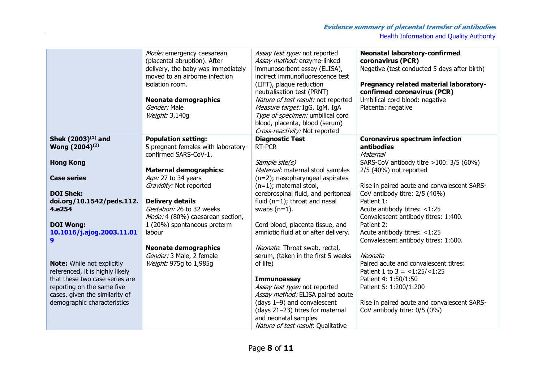|                                   | Mode: emergency caesarean<br>(placental abruption). After<br>delivery, the baby was immediately<br>moved to an airborne infection<br>isolation room.<br><b>Neonate demographics</b><br>Gender: Male<br>Weight: 3,140g | Assay test type: not reported<br>Assay method: enzyme-linked<br>immunosorbent assay (ELISA),<br>indirect immunofluorescence test<br>(IIFT), plaque reduction<br>neutralisation test (PRNT)<br>Nature of test result: not reported<br>Measure target: IgG, IgM, IgA<br>Type of specimen: umbilical cord<br>blood, placenta, blood (serum)<br>Cross-reactivity: Not reported | <b>Neonatal laboratory-confirmed</b><br>coronavirus (PCR)<br>Negative (test conducted 5 days after birth)<br>Pregnancy related material laboratory-<br>confirmed coronavirus (PCR)<br>Umbilical cord blood: negative<br>Placenta: negative |
|-----------------------------------|-----------------------------------------------------------------------------------------------------------------------------------------------------------------------------------------------------------------------|----------------------------------------------------------------------------------------------------------------------------------------------------------------------------------------------------------------------------------------------------------------------------------------------------------------------------------------------------------------------------|--------------------------------------------------------------------------------------------------------------------------------------------------------------------------------------------------------------------------------------------|
| Shek $(2003)^{(1)}$ and           | <b>Population setting:</b>                                                                                                                                                                                            | <b>Diagnostic Test</b>                                                                                                                                                                                                                                                                                                                                                     | <b>Coronavirus spectrum infection</b>                                                                                                                                                                                                      |
| Wong (2004) <sup>(2)</sup>        | 5 pregnant females with laboratory-<br>confirmed SARS-CoV-1.                                                                                                                                                          | RT-PCR                                                                                                                                                                                                                                                                                                                                                                     | <b>antibodies</b><br>Maternal                                                                                                                                                                                                              |
| <b>Hong Kong</b>                  |                                                                                                                                                                                                                       | Sample site(s)                                                                                                                                                                                                                                                                                                                                                             | SARS-CoV antibody titre $>100: 3/5 (60%)$                                                                                                                                                                                                  |
|                                   |                                                                                                                                                                                                                       |                                                                                                                                                                                                                                                                                                                                                                            |                                                                                                                                                                                                                                            |
|                                   | <b>Maternal demographics:</b>                                                                                                                                                                                         | Maternal: maternal stool samples                                                                                                                                                                                                                                                                                                                                           | $2/5$ (40%) not reported                                                                                                                                                                                                                   |
| <b>Case series</b>                | Age: 27 to 34 years                                                                                                                                                                                                   | $(n=2)$ ; nasopharyngeal aspirates                                                                                                                                                                                                                                                                                                                                         |                                                                                                                                                                                                                                            |
|                                   | Gravidity: Not reported                                                                                                                                                                                               | $(n=1)$ ; maternal stool,                                                                                                                                                                                                                                                                                                                                                  | Rise in paired acute and convalescent SARS-                                                                                                                                                                                                |
| <b>DOI Shek:</b>                  |                                                                                                                                                                                                                       | cerebrospinal fluid, and peritoneal                                                                                                                                                                                                                                                                                                                                        | CoV antibody titre: 2/5 (40%)                                                                                                                                                                                                              |
| doi.org/10.1542/peds.112.         | <b>Delivery details</b>                                                                                                                                                                                               | fluid $(n=1)$ ; throat and nasal                                                                                                                                                                                                                                                                                                                                           | Patient 1:                                                                                                                                                                                                                                 |
| 4.e254                            | Gestation: 26 to 32 weeks                                                                                                                                                                                             | swabs $(n=1)$ .                                                                                                                                                                                                                                                                                                                                                            | Acute antibody titres: <1:25                                                                                                                                                                                                               |
|                                   | Mode: 4 (80%) caesarean section,                                                                                                                                                                                      |                                                                                                                                                                                                                                                                                                                                                                            | Convalescent antibody titres: 1:400.                                                                                                                                                                                                       |
|                                   |                                                                                                                                                                                                                       |                                                                                                                                                                                                                                                                                                                                                                            |                                                                                                                                                                                                                                            |
| <b>DOI Wong:</b>                  | 1 (20%) spontaneous preterm                                                                                                                                                                                           | Cord blood, placenta tissue, and                                                                                                                                                                                                                                                                                                                                           | Patient 2:                                                                                                                                                                                                                                 |
| 10.1016/j.ajog.2003.11.01         | labour                                                                                                                                                                                                                | amniotic fluid at or after delivery.                                                                                                                                                                                                                                                                                                                                       | Acute antibody titres: <1:25                                                                                                                                                                                                               |
| 9                                 |                                                                                                                                                                                                                       |                                                                                                                                                                                                                                                                                                                                                                            | Convalescent antibody titres: 1:600.                                                                                                                                                                                                       |
|                                   | <b>Neonate demographics</b>                                                                                                                                                                                           | Neonate: Throat swab, rectal,                                                                                                                                                                                                                                                                                                                                              |                                                                                                                                                                                                                                            |
|                                   | Gender: 3 Male, 2 female                                                                                                                                                                                              | serum, (taken in the first 5 weeks                                                                                                                                                                                                                                                                                                                                         | Neonate                                                                                                                                                                                                                                    |
| <b>Note:</b> While not explicitly | Weight: 975q to 1,985q                                                                                                                                                                                                | of life)                                                                                                                                                                                                                                                                                                                                                                   | Paired acute and convalescent titres:                                                                                                                                                                                                      |
| referenced, it is highly likely   |                                                                                                                                                                                                                       |                                                                                                                                                                                                                                                                                                                                                                            | Patient 1 to $3 = <1:25/<1:25$                                                                                                                                                                                                             |
| that these two case series are    |                                                                                                                                                                                                                       | <b>Immunoassay</b>                                                                                                                                                                                                                                                                                                                                                         | Patient 4: 1:50/1:50                                                                                                                                                                                                                       |
|                                   |                                                                                                                                                                                                                       |                                                                                                                                                                                                                                                                                                                                                                            |                                                                                                                                                                                                                                            |
| reporting on the same five        |                                                                                                                                                                                                                       | Assay test type: not reported                                                                                                                                                                                                                                                                                                                                              | Patient 5: 1:200/1:200                                                                                                                                                                                                                     |
| cases, given the similarity of    |                                                                                                                                                                                                                       | Assay method: ELISA paired acute                                                                                                                                                                                                                                                                                                                                           |                                                                                                                                                                                                                                            |
| demographic characteristics       |                                                                                                                                                                                                                       | (days 1-9) and convalescent                                                                                                                                                                                                                                                                                                                                                | Rise in paired acute and convalescent SARS-                                                                                                                                                                                                |
|                                   |                                                                                                                                                                                                                       | (days 21-23) titres for maternal                                                                                                                                                                                                                                                                                                                                           | CoV antibody titre: 0/5 (0%)                                                                                                                                                                                                               |
|                                   |                                                                                                                                                                                                                       | and neonatal samples                                                                                                                                                                                                                                                                                                                                                       |                                                                                                                                                                                                                                            |
|                                   |                                                                                                                                                                                                                       | Nature of test result. Qualitative                                                                                                                                                                                                                                                                                                                                         |                                                                                                                                                                                                                                            |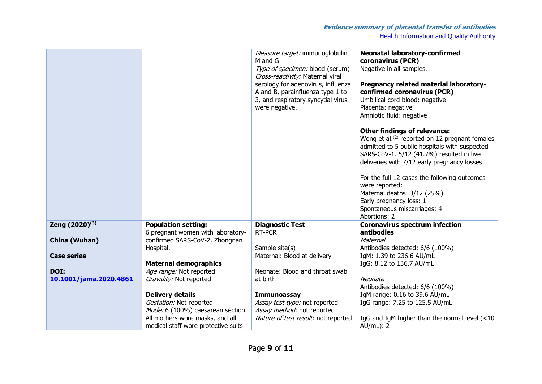|                            |                                                                        | Measure target: immunoglobulin<br>M and G<br>Type of specimen: blood (serum)<br>Cross-reactivity: Maternal viral<br>serology for adenovirus, influenza<br>A and B, parainfluenza type 1 to<br>3, and respiratory syncytial virus<br>were negative. | <b>Neonatal laboratory-confirmed</b><br>coronavirus (PCR)<br>Negative in all samples.<br>Pregnancy related material laboratory-<br>confirmed coronavirus (PCR)<br>Umbilical cord blood: negative<br>Placenta: negative<br>Amniotic fluid: negative<br><b>Other findings of relevance:</b><br>Wong et al. $(2)$ reported on 12 pregnant females<br>admitted to 5 public hospitals with suspected<br>SARS-CoV-1. 5/12 (41.7%) resulted in live<br>deliveries with 7/12 early pregnancy losses.<br>For the full 12 cases the following outcomes<br>were reported:<br>Maternal deaths: 3/12 (25%)<br>Early pregnancy loss: 1<br>Spontaneous miscarriages: 4<br>Abortions: 2 |
|----------------------------|------------------------------------------------------------------------|----------------------------------------------------------------------------------------------------------------------------------------------------------------------------------------------------------------------------------------------------|-------------------------------------------------------------------------------------------------------------------------------------------------------------------------------------------------------------------------------------------------------------------------------------------------------------------------------------------------------------------------------------------------------------------------------------------------------------------------------------------------------------------------------------------------------------------------------------------------------------------------------------------------------------------------|
| Zeng (2020) <sup>(3)</sup> | <b>Population setting:</b>                                             | <b>Diagnostic Test</b>                                                                                                                                                                                                                             | <b>Coronavirus spectrum infection</b>                                                                                                                                                                                                                                                                                                                                                                                                                                                                                                                                                                                                                                   |
|                            | 6 pregnant women with laboratory-                                      | RT-PCR                                                                                                                                                                                                                                             | antibodies                                                                                                                                                                                                                                                                                                                                                                                                                                                                                                                                                                                                                                                              |
| China (Wuhan)              | confirmed SARS-CoV-2, Zhongnan                                         |                                                                                                                                                                                                                                                    | Maternal                                                                                                                                                                                                                                                                                                                                                                                                                                                                                                                                                                                                                                                                |
| <b>Case series</b>         | Hospital.                                                              | Sample site(s)<br>Maternal: Blood at delivery                                                                                                                                                                                                      | Antibodies detected: 6/6 (100%)<br>IgM: 1.39 to 236.6 AU/mL                                                                                                                                                                                                                                                                                                                                                                                                                                                                                                                                                                                                             |
|                            | <b>Maternal demographics</b>                                           |                                                                                                                                                                                                                                                    | IgG: 8.12 to 136.7 AU/mL                                                                                                                                                                                                                                                                                                                                                                                                                                                                                                                                                                                                                                                |
| DOI:                       | Age range: Not reported                                                | Neonate: Blood and throat swab                                                                                                                                                                                                                     |                                                                                                                                                                                                                                                                                                                                                                                                                                                                                                                                                                                                                                                                         |
| 10.1001/jama.2020.4861     | Gravidity: Not reported                                                | at birth                                                                                                                                                                                                                                           | Neonate                                                                                                                                                                                                                                                                                                                                                                                                                                                                                                                                                                                                                                                                 |
|                            |                                                                        |                                                                                                                                                                                                                                                    | Antibodies detected: 6/6 (100%)                                                                                                                                                                                                                                                                                                                                                                                                                                                                                                                                                                                                                                         |
|                            | <b>Delivery details</b>                                                | <b>Immunoassay</b>                                                                                                                                                                                                                                 | IgM range: 0.16 to 39.6 AU/mL                                                                                                                                                                                                                                                                                                                                                                                                                                                                                                                                                                                                                                           |
|                            | Gestation: Not reported                                                | Assay test type: not reported                                                                                                                                                                                                                      | IgG range: 7.25 to 125.5 AU/mL                                                                                                                                                                                                                                                                                                                                                                                                                                                                                                                                                                                                                                          |
|                            | Mode: 6 (100%) caesarean section.                                      | Assay method: not reported                                                                                                                                                                                                                         |                                                                                                                                                                                                                                                                                                                                                                                                                                                                                                                                                                                                                                                                         |
|                            | All mothers wore masks, and all<br>medical staff wore protective suits | Nature of test result: not reported                                                                                                                                                                                                                | IgG and IgM higher than the normal level (<10<br>$AU/mL)$ : 2                                                                                                                                                                                                                                                                                                                                                                                                                                                                                                                                                                                                           |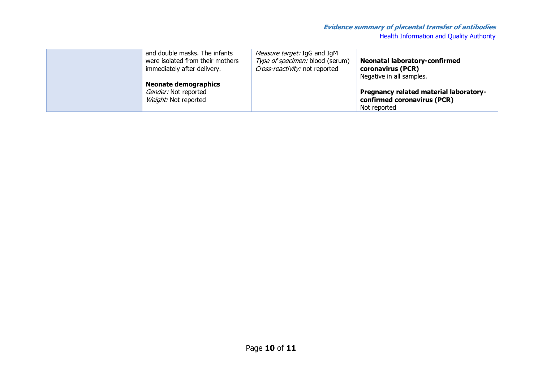| <b>Neonatal laboratory-confirmed</b>   |
|----------------------------------------|
|                                        |
|                                        |
| Pregnancy related material laboratory- |
| confirmed coronavirus (PCR)            |
|                                        |